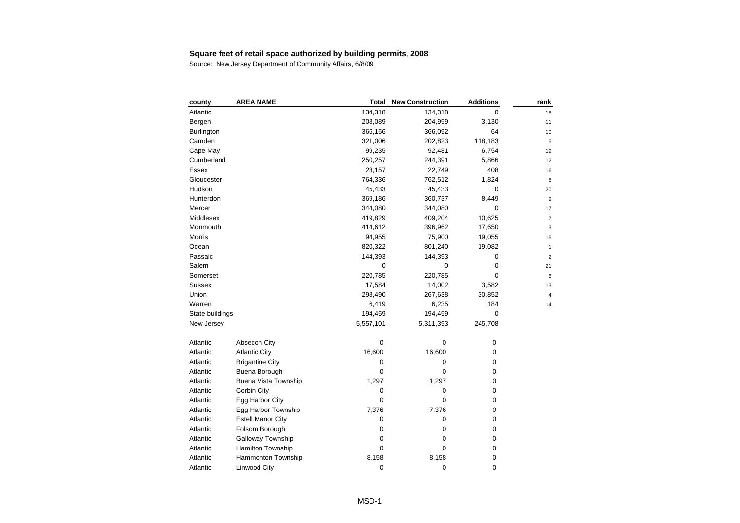| county            | <b>AREA NAME</b>         | Total       | <b>New Construction</b> | <b>Additions</b> | rank           |
|-------------------|--------------------------|-------------|-------------------------|------------------|----------------|
| Atlantic          |                          | 134,318     | 134,318                 | 0                | 18             |
| Bergen            |                          | 208,089     | 204,959                 | 3,130            | 11             |
| <b>Burlington</b> |                          | 366,156     | 366,092                 | 64               | 10             |
| Camden            |                          | 321,006     | 202,823                 | 118,183          | 5              |
| Cape May          |                          | 99,235      | 92,481                  | 6,754            | 19             |
| Cumberland        |                          | 250,257     | 244,391                 | 5,866            | 12             |
| Essex             |                          | 23,157      | 22,749                  | 408              | 16             |
| Gloucester        |                          | 764,336     | 762,512                 | 1,824            | 8              |
| Hudson            |                          | 45,433      | 45,433                  | 0                | 20             |
| Hunterdon         |                          | 369,186     | 360,737                 | 8,449            | 9              |
| Mercer            |                          | 344,080     | 344,080                 | 0                | 17             |
| Middlesex         |                          | 419,829     | 409,204                 | 10,625           | $\overline{7}$ |
| Monmouth          |                          | 414,612     | 396,962                 | 17,650           | 3              |
| Morris            |                          | 94,955      | 75,900                  | 19,055           | 15             |
| Ocean             |                          | 820,322     | 801,240                 | 19,082           | $\mathbf{1}$   |
| Passaic           |                          | 144,393     | 144,393                 | 0                | $\overline{2}$ |
| Salem             |                          | $\mathbf 0$ | $\mathbf 0$             | 0                | 21             |
| Somerset          |                          | 220,785     | 220,785                 | $\mathbf 0$      | 6              |
| <b>Sussex</b>     |                          | 17,584      | 14,002                  | 3,582            | 13             |
| Union             |                          | 298,490     | 267,638                 | 30,852           | $\overline{4}$ |
| Warren            |                          | 6,419       | 6,235                   | 184              | 14             |
| State buildings   |                          | 194,459     | 194,459                 | $\mathbf 0$      |                |
| New Jersey        |                          | 5,557,101   | 5,311,393               | 245,708          |                |
| Atlantic          | Absecon City             | $\mathbf 0$ | 0                       | $\pmb{0}$        |                |
| Atlantic          | <b>Atlantic City</b>     | 16,600      | 16,600                  | 0                |                |
| Atlantic          | <b>Brigantine City</b>   | 0           | 0                       | $\boldsymbol{0}$ |                |
| Atlantic          | Buena Borough            | $\mathbf 0$ | 0                       | 0                |                |
| Atlantic          | Buena Vista Township     | 1,297       | 1,297                   | 0                |                |
| Atlantic          | Corbin City              | 0           | 0                       | 0                |                |
| Atlantic          | Egg Harbor City          | 0           | 0                       | 0                |                |
| Atlantic          | Egg Harbor Township      | 7,376       | 7,376                   | $\boldsymbol{0}$ |                |
| Atlantic          | <b>Estell Manor City</b> | $\pmb{0}$   | 0                       | $\boldsymbol{0}$ |                |
| Atlantic          | Folsom Borough           | 0           | 0                       | 0                |                |
| Atlantic          | <b>Galloway Township</b> | 0           | 0                       | 0                |                |
| Atlantic          | Hamilton Township        | $\mathbf 0$ | 0                       | 0                |                |
| Atlantic          | Hammonton Township       | 8,158       | 8,158                   | 0                |                |
| Atlantic          | <b>Linwood City</b>      | 0           | 0                       | 0                |                |
|                   |                          |             |                         |                  |                |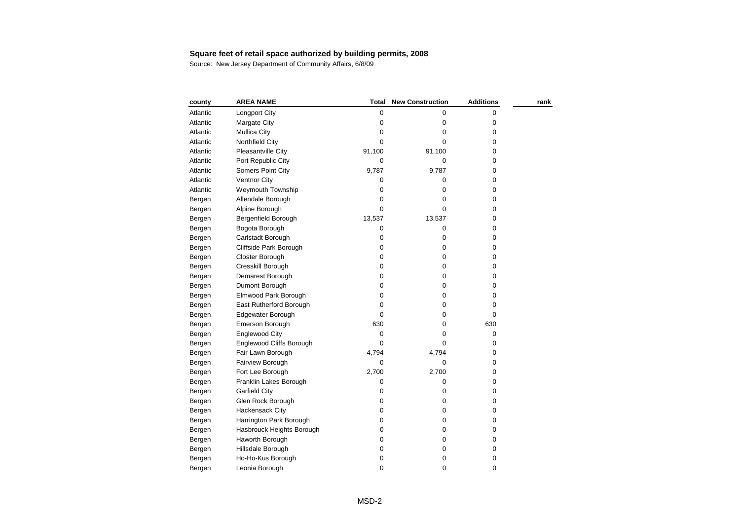| county   | <b>AREA NAME</b>                | Total       | <b>New Construction</b> | <b>Additions</b> | rank |
|----------|---------------------------------|-------------|-------------------------|------------------|------|
| Atlantic | Longport City                   | 0           | 0                       | 0                |      |
| Atlantic | Margate City                    | $\pmb{0}$   | 0                       | 0                |      |
| Atlantic | Mullica City                    | 0           | 0                       | 0                |      |
| Atlantic | Northfield City                 | 0           | 0                       | 0                |      |
| Atlantic | Pleasantville City              | 91,100      | 91,100                  | 0                |      |
| Atlantic | Port Republic City              | 0           | 0                       | 0                |      |
| Atlantic | Somers Point City               | 9,787       | 9,787                   | 0                |      |
| Atlantic | Ventnor City                    | 0           | 0                       | 0                |      |
| Atlantic | Weymouth Township               | 0           | 0                       | 0                |      |
| Bergen   | Allendale Borough               | 0           | 0                       | 0                |      |
| Bergen   | Alpine Borough                  | 0           | $\pmb{0}$               | 0                |      |
| Bergen   | Bergenfield Borough             | 13,537      | 13,537                  | 0                |      |
| Bergen   | Bogota Borough                  | 0           | 0                       | 0                |      |
| Bergen   | Carlstadt Borough               | 0           | 0                       | 0                |      |
| Bergen   | Cliffside Park Borough          | 0           | 0                       | 0                |      |
| Bergen   | Closter Borough                 | $\pmb{0}$   | 0                       | 0                |      |
| Bergen   | Cresskill Borough               | 0           | $\pmb{0}$               | 0                |      |
| Bergen   | Demarest Borough                | $\pmb{0}$   | 0                       | 0                |      |
| Bergen   | Dumont Borough                  | 0           | 0                       | 0                |      |
| Bergen   | Elmwood Park Borough            | 0           | $\pmb{0}$               | 0                |      |
| Bergen   | East Rutherford Borough         | $\pmb{0}$   | 0                       | 0                |      |
| Bergen   | Edgewater Borough               | 0           | $\pmb{0}$               | 0                |      |
| Bergen   | Emerson Borough                 | 630         | 0                       | 630              |      |
| Bergen   | <b>Englewood City</b>           | 0           | 0                       | $\pmb{0}$        |      |
| Bergen   | <b>Englewood Cliffs Borough</b> | $\Omega$    | 0                       | 0                |      |
| Bergen   | Fair Lawn Borough               | 4,794       | 4,794                   | 0                |      |
| Bergen   | Fairview Borough                | 0           | 0                       | 0                |      |
| Bergen   | Fort Lee Borough                | 2,700       | 2,700                   | 0                |      |
| Bergen   | Franklin Lakes Borough          | 0           | 0                       | 0                |      |
| Bergen   | <b>Garfield City</b>            | 0           | 0                       | 0                |      |
| Bergen   | Glen Rock Borough               | 0           | $\pmb{0}$               | 0                |      |
| Bergen   | Hackensack City                 | 0           | $\pmb{0}$               | 0                |      |
| Bergen   | Harrington Park Borough         | 0           | $\pmb{0}$               | 0                |      |
| Bergen   | Hasbrouck Heights Borough       | 0           | 0                       | 0                |      |
| Bergen   | Haworth Borough                 | 0           | 0                       | 0                |      |
| Bergen   | Hillsdale Borough               | 0           | 0                       | 0                |      |
| Bergen   | Ho-Ho-Kus Borough               | 0           | 0                       | 0                |      |
| Bergen   | Leonia Borough                  | $\mathbf 0$ | 0                       | 0                |      |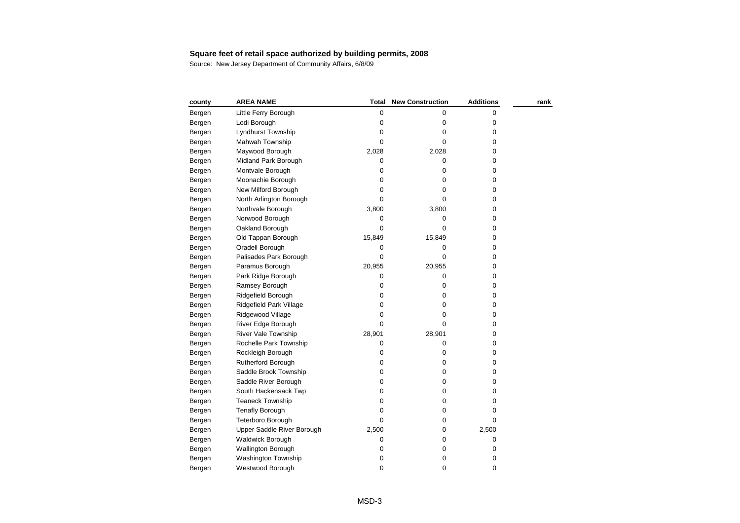| county | <b>AREA NAME</b>           | Total       | <b>New Construction</b> | <b>Additions</b> | rank |
|--------|----------------------------|-------------|-------------------------|------------------|------|
| Bergen | Little Ferry Borough       | 0           | 0                       | 0                |      |
| Bergen | Lodi Borough               | $\pmb{0}$   | 0                       | 0                |      |
| Bergen | Lyndhurst Township         | 0           | 0                       | 0                |      |
| Bergen | Mahwah Township            | 0           | 0                       | 0                |      |
| Bergen | Maywood Borough            | 2,028       | 2,028                   | 0                |      |
| Bergen | Midland Park Borough       | 0           | 0                       | 0                |      |
| Bergen | Montvale Borough           | $\mathbf 0$ | 0                       | 0                |      |
| Bergen | Moonachie Borough          | 0           | 0                       | 0                |      |
| Bergen | New Milford Borough        | 0           | 0                       | 0                |      |
| Bergen | North Arlington Borough    | 0           | 0                       | 0                |      |
| Bergen | Northvale Borough          | 3,800       | 3,800                   | 0                |      |
| Bergen | Norwood Borough            | 0           | 0                       | 0                |      |
| Bergen | Oakland Borough            | 0           | 0                       | 0                |      |
| Bergen | Old Tappan Borough         | 15,849      | 15,849                  | 0                |      |
| Bergen | Oradell Borough            | 0           | 0                       | 0                |      |
| Bergen | Palisades Park Borough     | $\pmb{0}$   | 0                       | 0                |      |
| Bergen | Paramus Borough            | 20,955      | 20,955                  | 0                |      |
| Bergen | Park Ridge Borough         | 0           | 0                       | 0                |      |
| Bergen | Ramsey Borough             | $\pmb{0}$   | 0                       | 0                |      |
| Bergen | Ridgefield Borough         | 0           | 0                       | 0                |      |
| Bergen | Ridgefield Park Village    | 0           | 0                       | 0                |      |
| Bergen | Ridgewood Village          | 0           | 0                       | 0                |      |
| Bergen | River Edge Borough         | 0           | 0                       | 0                |      |
| Bergen | <b>River Vale Township</b> | 28,901      | 28,901                  | 0                |      |
| Bergen | Rochelle Park Township     | 0           | 0                       | 0                |      |
| Bergen | Rockleigh Borough          | 0           | 0                       | 0                |      |
| Bergen | Rutherford Borough         | 0           | 0                       | 0                |      |
| Bergen | Saddle Brook Township      | 0           | 0                       | 0                |      |
| Bergen | Saddle River Borough       | 0           | 0                       | 0                |      |
| Bergen | South Hackensack Twp       | $\mathbf 0$ | 0                       | 0                |      |
| Bergen | <b>Teaneck Township</b>    | 0           | 0                       | 0                |      |
| Bergen | <b>Tenafly Borough</b>     | 0           | 0                       | 0                |      |
| Bergen | Teterboro Borough          | 0           | 0                       | 0                |      |
| Bergen | Upper Saddle River Borough | 2,500       | 0                       | 2,500            |      |
| Bergen | <b>Waldwick Borough</b>    | $\pmb{0}$   | 0                       | 0                |      |
| Bergen | Wallington Borough         | 0           | 0                       | 0                |      |
| Bergen | Washington Township        | 0           | 0                       | 0                |      |
| Bergen | Westwood Borough           | 0           | 0                       | 0                |      |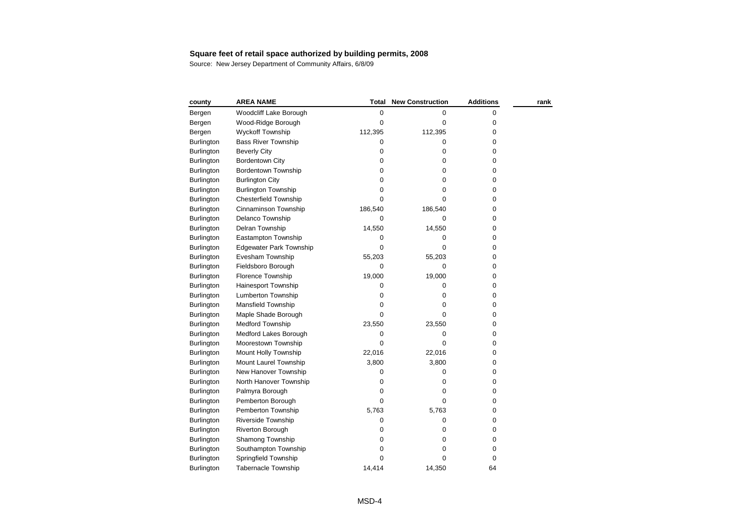| county            | <b>AREA NAME</b>               | <b>Total</b> | <b>New Construction</b> | <b>Additions</b> | rank |
|-------------------|--------------------------------|--------------|-------------------------|------------------|------|
| Bergen            | Woodcliff Lake Borough         | 0            | 0                       | 0                |      |
| Bergen            | Wood-Ridge Borough             | 0            | 0                       | 0                |      |
| Bergen            | <b>Wyckoff Township</b>        | 112,395      | 112,395                 | 0                |      |
| Burlington        | <b>Bass River Township</b>     | 0            | 0                       | 0                |      |
| <b>Burlington</b> | <b>Beverly City</b>            | 0            | 0                       | 0                |      |
| <b>Burlington</b> | <b>Bordentown City</b>         | 0            | $\mathbf 0$             | 0                |      |
| <b>Burlington</b> | <b>Bordentown Township</b>     | 0            | 0                       | 0                |      |
| Burlington        | <b>Burlington City</b>         | 0            | 0                       | 0                |      |
| <b>Burlington</b> | <b>Burlington Township</b>     | 0            | 0                       | 0                |      |
| <b>Burlington</b> | <b>Chesterfield Township</b>   | 0            | 0                       | 0                |      |
| <b>Burlington</b> | Cinnaminson Township           | 186,540      | 186,540                 | 0                |      |
| <b>Burlington</b> | Delanco Township               | 0            | 0                       | 0                |      |
| <b>Burlington</b> | Delran Township                | 14,550       | 14,550                  | 0                |      |
| Burlington        | Eastampton Township            | 0            | 0                       | 0                |      |
| <b>Burlington</b> | <b>Edgewater Park Township</b> | 0            | 0                       | 0                |      |
| <b>Burlington</b> | Evesham Township               | 55,203       | 55,203                  | 0                |      |
| Burlington        | Fieldsboro Borough             | 0            | 0                       | 0                |      |
| <b>Burlington</b> | <b>Florence Township</b>       | 19,000       | 19,000                  | 0                |      |
| Burlington        | Hainesport Township            | 0            | 0                       | 0                |      |
| <b>Burlington</b> | <b>Lumberton Township</b>      | 0            | 0                       | 0                |      |
| <b>Burlington</b> | Mansfield Township             | 0            | 0                       | 0                |      |
| <b>Burlington</b> | Maple Shade Borough            | 0            | 0                       | 0                |      |
| <b>Burlington</b> | <b>Medford Township</b>        | 23,550       | 23,550                  | 0                |      |
| <b>Burlington</b> | Medford Lakes Borough          | 0            | 0                       | 0                |      |
| <b>Burlington</b> | Moorestown Township            | 0            | 0                       | 0                |      |
| <b>Burlington</b> | Mount Holly Township           | 22,016       | 22,016                  | 0                |      |
| <b>Burlington</b> | Mount Laurel Township          | 3,800        | 3,800                   | 0                |      |
| <b>Burlington</b> | New Hanover Township           | 0            | 0                       | 0                |      |
| Burlington        | North Hanover Township         | 0            | 0                       | 0                |      |
| <b>Burlington</b> | Palmyra Borough                | 0            | 0                       | 0                |      |
| <b>Burlington</b> | Pemberton Borough              | 0            | 0                       | 0                |      |
| <b>Burlington</b> | Pemberton Township             | 5,763        | 5,763                   | 0                |      |
| <b>Burlington</b> | Riverside Township             | 0            | 0                       | 0                |      |
| Burlington        | Riverton Borough               | 0            | $\mathbf 0$             | 0                |      |
| <b>Burlington</b> | Shamong Township               | 0            | 0                       | 0                |      |
| <b>Burlington</b> | Southampton Township           | 0            | 0                       | 0                |      |
| <b>Burlington</b> | Springfield Township           | 0            | 0                       | 0                |      |
| Burlington        | <b>Tabernacle Township</b>     | 14.414       | 14,350                  | 64               |      |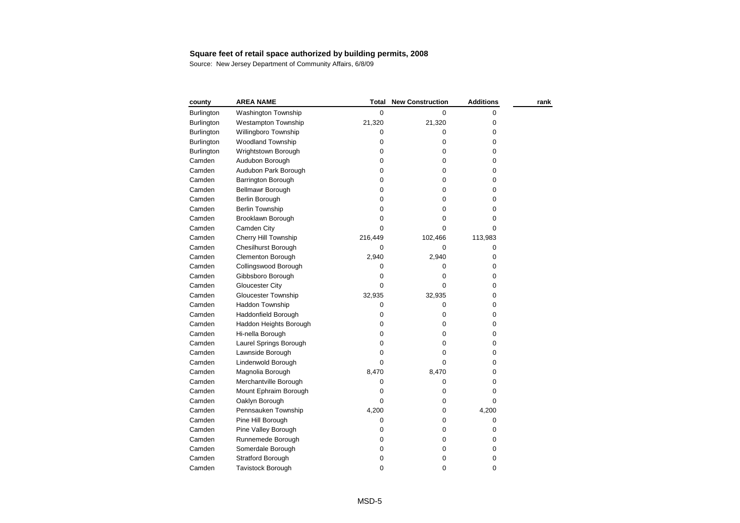| county            | <b>AREA NAME</b>           | Total       | <b>New Construction</b> | <b>Additions</b> | rank |
|-------------------|----------------------------|-------------|-------------------------|------------------|------|
| <b>Burlington</b> | <b>Washington Township</b> | 0           | 0                       | 0                |      |
| <b>Burlington</b> | <b>Westampton Township</b> | 21,320      | 21,320                  | 0                |      |
| <b>Burlington</b> | Willingboro Township       | 0           | 0                       | 0                |      |
| <b>Burlington</b> | <b>Woodland Township</b>   | 0           | 0                       | 0                |      |
| Burlington        | Wrightstown Borough        | $\mathbf 0$ | 0                       | 0                |      |
| Camden            | Audubon Borough            | $\mathbf 0$ | $\pmb{0}$               | 0                |      |
| Camden            | Audubon Park Borough       | 0           | 0                       | 0                |      |
| Camden            | Barrington Borough         | 0           | 0                       | 0                |      |
| Camden            | Bellmawr Borough           | $\Omega$    | 0                       | 0                |      |
| Camden            | Berlin Borough             | 0           | 0                       | 0                |      |
| Camden            | <b>Berlin Township</b>     | 0           | 0                       | 0                |      |
| Camden            | Brooklawn Borough          | 0           | 0                       | 0                |      |
| Camden            | Camden City                | 0           | 0                       | 0                |      |
| Camden            | Cherry Hill Township       | 216,449     | 102,466                 | 113,983          |      |
| Camden            | <b>Chesilhurst Borough</b> | 0           | 0                       | 0                |      |
| Camden            | Clementon Borough          | 2,940       | 2,940                   | 0                |      |
| Camden            | Collingswood Borough       | 0           | 0                       | 0                |      |
| Camden            | Gibbsboro Borough          | 0           | 0                       | 0                |      |
| Camden            | <b>Gloucester City</b>     | 0           | 0                       | 0                |      |
| Camden            | <b>Gloucester Township</b> | 32,935      | 32,935                  | 0                |      |
| Camden            | <b>Haddon Township</b>     | 0           | 0                       | 0                |      |
| Camden            | Haddonfield Borough        | 0           | 0                       | 0                |      |
| Camden            | Haddon Heights Borough     | 0           | 0                       | 0                |      |
| Camden            | Hi-nella Borough           | 0           | 0                       | 0                |      |
| Camden            | Laurel Springs Borough     | $\mathbf 0$ | 0                       | 0                |      |
| Camden            | Lawnside Borough           | 0           | 0                       | 0                |      |
| Camden            | Lindenwold Borough         | $\Omega$    | $\Omega$                | 0                |      |
| Camden            | Magnolia Borough           | 8,470       | 8,470                   | 0                |      |
| Camden            | Merchantville Borough      | 0           | 0                       | 0                |      |
| Camden            | Mount Ephraim Borough      | 0           | 0                       | 0                |      |
| Camden            | Oaklyn Borough             | $\Omega$    | $\mathbf 0$             | 0                |      |
| Camden            | Pennsauken Township        | 4,200       | 0                       | 4,200            |      |
| Camden            | Pine Hill Borough          | 0           | 0                       | 0                |      |
| Camden            | Pine Valley Borough        | 0           | 0                       | 0                |      |
| Camden            | Runnemede Borough          | 0           | 0                       | 0                |      |
| Camden            | Somerdale Borough          | 0           | 0                       | 0                |      |
| Camden            | <b>Stratford Borough</b>   | 0           | 0                       | 0                |      |
| Camden            | <b>Tavistock Borough</b>   | $\mathbf 0$ | 0                       | 0                |      |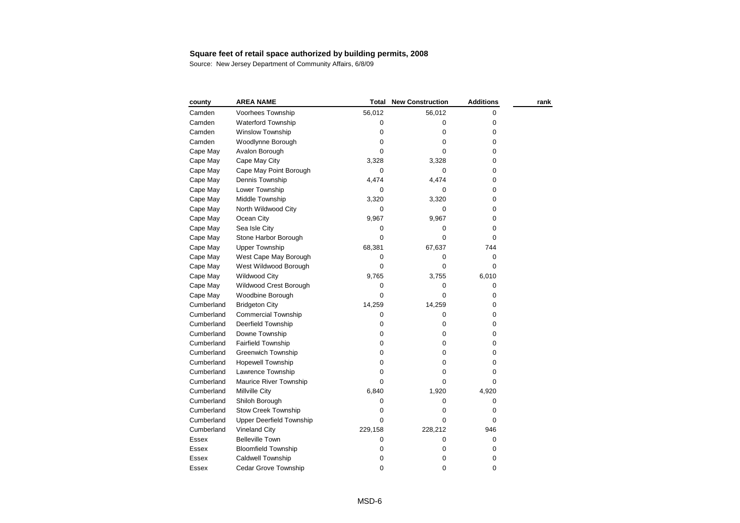| county     | <b>AREA NAME</b>                | Total     | <b>New Construction</b> | <b>Additions</b> | rank |
|------------|---------------------------------|-----------|-------------------------|------------------|------|
| Camden     | Voorhees Township               | 56,012    | 56,012                  | 0                |      |
| Camden     | Waterford Township              | 0         | 0                       | 0                |      |
| Camden     | Winslow Township                | 0         | 0                       | 0                |      |
| Camden     | Woodlynne Borough               | 0         | 0                       | 0                |      |
| Cape May   | Avalon Borough                  | 0         | $\mathbf 0$             | 0                |      |
| Cape May   | Cape May City                   | 3,328     | 3,328                   | 0                |      |
| Cape May   | Cape May Point Borough          | 0         | 0                       | 0                |      |
| Cape May   | Dennis Township                 | 4,474     | 4,474                   | 0                |      |
| Cape May   | Lower Township                  | 0         | 0                       | 0                |      |
| Cape May   | Middle Township                 | 3,320     | 3,320                   | 0                |      |
| Cape May   | North Wildwood City             | 0         | 0                       | 0                |      |
| Cape May   | Ocean City                      | 9,967     | 9,967                   | 0                |      |
| Cape May   | Sea Isle City                   | 0         | 0                       | 0                |      |
| Cape May   | Stone Harbor Borough            | 0         | 0                       | 0                |      |
| Cape May   | <b>Upper Township</b>           | 68,381    | 67,637                  | 744              |      |
| Cape May   | West Cape May Borough           | 0         | 0                       | 0                |      |
| Cape May   | West Wildwood Borough           | 0         | 0                       | 0                |      |
| Cape May   | <b>Wildwood City</b>            | 9,765     | 3,755                   | 6,010            |      |
| Cape May   | Wildwood Crest Borough          | 0         | 0                       | 0                |      |
| Cape May   | Woodbine Borough                | 0         | 0                       | 0                |      |
| Cumberland | <b>Bridgeton City</b>           | 14,259    | 14,259                  | 0                |      |
| Cumberland | <b>Commercial Township</b>      | 0         | 0                       | 0                |      |
| Cumberland | Deerfield Township              | 0         | 0                       | 0                |      |
| Cumberland | Downe Township                  | 0         | 0                       | 0                |      |
| Cumberland | <b>Fairfield Township</b>       | 0         | 0                       | 0                |      |
| Cumberland | <b>Greenwich Township</b>       | $\pmb{0}$ | 0                       | 0                |      |
| Cumberland | <b>Hopewell Township</b>        | 0         | 0                       | 0                |      |
| Cumberland | Lawrence Township               | 0         | 0                       | 0                |      |
| Cumberland | Maurice River Township          | $\Omega$  | 0                       | $\Omega$         |      |
| Cumberland | Millville City                  | 6,840     | 1,920                   | 4,920            |      |
| Cumberland | Shiloh Borough                  | 0         | 0                       | 0                |      |
| Cumberland | Stow Creek Township             | 0         | 0                       | $\mathbf 0$      |      |
| Cumberland | <b>Upper Deerfield Township</b> | 0         | 0                       | 0                |      |
| Cumberland | <b>Vineland City</b>            | 229,158   | 228,212                 | 946              |      |
| Essex      | <b>Belleville Town</b>          | 0         | 0                       | 0                |      |
| Essex      | <b>Bloomfield Township</b>      | 0         | 0                       | 0                |      |
| Essex      | Caldwell Township               | 0         | 0                       | 0                |      |
| Essex      | Cedar Grove Township            | 0         | 0                       | 0                |      |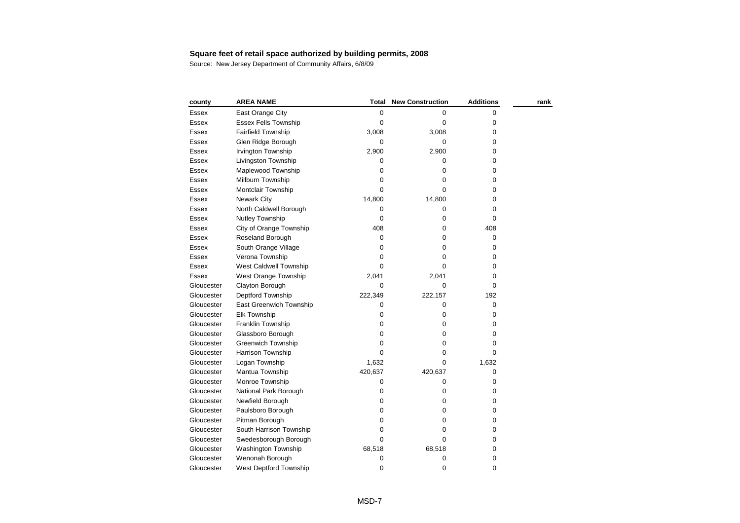| county       | <b>AREA NAME</b>            | Total     | <b>New Construction</b> | <b>Additions</b> | rank |
|--------------|-----------------------------|-----------|-------------------------|------------------|------|
| Essex        | East Orange City            | 0         | 0                       | 0                |      |
| Essex        | <b>Essex Fells Township</b> | 0         | 0                       | 0                |      |
| Essex        | <b>Fairfield Township</b>   | 3,008     | 3,008                   | 0                |      |
| Essex        | Glen Ridge Borough          | 0         | 0                       | 0                |      |
| Essex        | Irvington Township          | 2,900     | 2,900                   | 0                |      |
| <b>Essex</b> | Livingston Township         | 0         | 0                       | 0                |      |
| <b>Essex</b> | Maplewood Township          | 0         | 0                       | 0                |      |
| Essex        | Millburn Township           | 0         | 0                       | 0                |      |
| Essex        | Montclair Township          | 0         | 0                       | 0                |      |
| Essex        | <b>Newark City</b>          | 14,800    | 14,800                  | 0                |      |
| Essex        | North Caldwell Borough      | 0         | 0                       | 0                |      |
| Essex        | Nutley Township             | 0         | 0                       | 0                |      |
| Essex        | City of Orange Township     | 408       | 0                       | 408              |      |
| Essex        | Roseland Borough            | 0         | 0                       | 0                |      |
| Essex        | South Orange Village        | 0         | 0                       | 0                |      |
| Essex        | Verona Township             | 0         | 0                       | 0                |      |
| Essex        | West Caldwell Township      | 0         | 0                       | 0                |      |
| Essex        | West Orange Township        | 2,041     | 2,041                   | 0                |      |
| Gloucester   | Clayton Borough             | $\Omega$  | $\Omega$                | $\mathbf 0$      |      |
| Gloucester   | Deptford Township           | 222,349   | 222,157                 | 192              |      |
| Gloucester   | East Greenwich Township     | 0         | 0                       | 0                |      |
| Gloucester   | <b>Elk Township</b>         | 0         | 0                       | 0                |      |
| Gloucester   | Franklin Township           | 0         | 0                       | 0                |      |
| Gloucester   | Glassboro Borough           | 0         | 0                       | 0                |      |
| Gloucester   | <b>Greenwich Township</b>   | $\pmb{0}$ | 0                       | 0                |      |
| Gloucester   | Harrison Township           | 0         | 0                       | 0                |      |
| Gloucester   | Logan Township              | 1,632     | 0                       | 1,632            |      |
| Gloucester   | Mantua Township             | 420,637   | 420,637                 | 0                |      |
| Gloucester   | Monroe Township             | $\pmb{0}$ | 0                       | 0                |      |
| Gloucester   | National Park Borough       | 0         | 0                       | 0                |      |
| Gloucester   | Newfield Borough            | 0         | 0                       | 0                |      |
| Gloucester   | Paulsboro Borough           | $\Omega$  | 0                       | 0                |      |
| Gloucester   | Pitman Borough              | 0         | 0                       | 0                |      |
| Gloucester   | South Harrison Township     | 0         | 0                       | 0                |      |
| Gloucester   | Swedesborough Borough       | 0         | 0                       | 0                |      |
| Gloucester   | Washington Township         | 68,518    | 68,518                  | 0                |      |
| Gloucester   | Wenonah Borough             | 0         | 0                       | 0                |      |
| Gloucester   | West Deptford Township      | 0         | 0                       | 0                |      |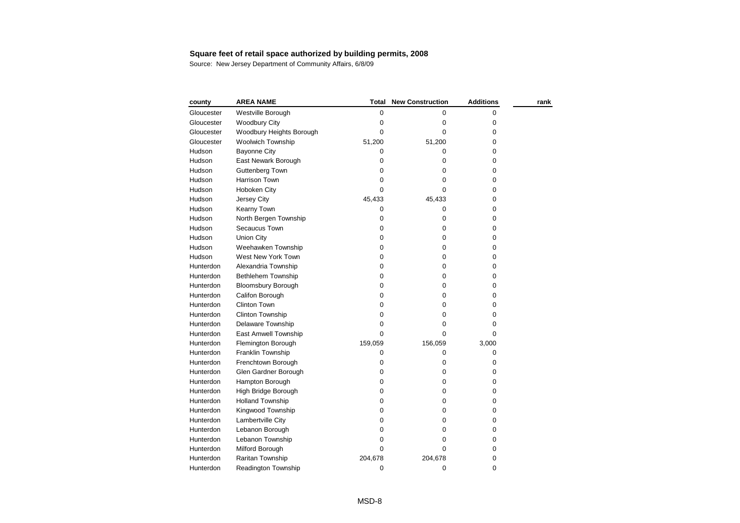| county     | <b>AREA NAME</b>          | Total       | <b>New Construction</b> | <b>Additions</b> | rank |
|------------|---------------------------|-------------|-------------------------|------------------|------|
| Gloucester | Westville Borough         | 0           | 0                       | 0                |      |
| Gloucester | <b>Woodbury City</b>      | 0           | 0                       | 0                |      |
| Gloucester | Woodbury Heights Borough  | 0           | 0                       | 0                |      |
| Gloucester | Woolwich Township         | 51,200      | 51,200                  | 0                |      |
| Hudson     | <b>Bayonne City</b>       | 0           | 0                       | 0                |      |
| Hudson     | East Newark Borough       | 0           | 0                       | 0                |      |
| Hudson     | Guttenberg Town           | 0           | 0                       | 0                |      |
| Hudson     | <b>Harrison Town</b>      | 0           | 0                       | 0                |      |
| Hudson     | Hoboken City              | 0           | 0                       | 0                |      |
| Hudson     | Jersey City               | 45,433      | 45,433                  | 0                |      |
| Hudson     | Kearny Town               | 0           | 0                       | 0                |      |
| Hudson     | North Bergen Township     | 0           | 0                       | 0                |      |
| Hudson     | Secaucus Town             | 0           | 0                       | 0                |      |
| Hudson     | <b>Union City</b>         | 0           | 0                       | 0                |      |
| Hudson     | Weehawken Township        | 0           | 0                       | 0                |      |
| Hudson     | West New York Town        | 0           | 0                       | 0                |      |
| Hunterdon  | Alexandria Township       | 0           | 0                       | 0                |      |
| Hunterdon  | Bethlehem Township        | 0           | 0                       | 0                |      |
| Hunterdon  | <b>Bloomsbury Borough</b> | 0           | 0                       | 0                |      |
| Hunterdon  | Califon Borough           | 0           | 0                       | 0                |      |
| Hunterdon  | <b>Clinton Town</b>       | $\mathbf 0$ | 0                       | 0                |      |
| Hunterdon  | Clinton Township          | 0           | 0                       | 0                |      |
| Hunterdon  | Delaware Township         | $\mathbf 0$ | 0                       | 0                |      |
| Hunterdon  | East Amwell Township      | 0           | 0                       | 0                |      |
| Hunterdon  | Flemington Borough        | 159,059     | 156,059                 | 3,000            |      |
| Hunterdon  | Franklin Township         | 0           | 0                       | 0                |      |
| Hunterdon  | Frenchtown Borough        | 0           | 0                       | 0                |      |
| Hunterdon  | Glen Gardner Borough      | 0           | 0                       | 0                |      |
| Hunterdon  | Hampton Borough           | 0           | 0                       | 0                |      |
| Hunterdon  | High Bridge Borough       | 0           | 0                       | 0                |      |
| Hunterdon  | <b>Holland Township</b>   | 0           | 0                       | 0                |      |
| Hunterdon  | Kingwood Township         | 0           | 0                       | 0                |      |
| Hunterdon  | Lambertville City         | 0           | 0                       | 0                |      |
| Hunterdon  | Lebanon Borough           | 0           | 0                       | 0                |      |
| Hunterdon  | Lebanon Township          | 0           | 0                       | 0                |      |
| Hunterdon  | Milford Borough           | 0           | 0                       | 0                |      |
| Hunterdon  | Raritan Township          | 204,678     | 204,678                 | 0                |      |
| Hunterdon  | Readington Township       | 0           | 0                       | 0                |      |
|            |                           |             |                         |                  |      |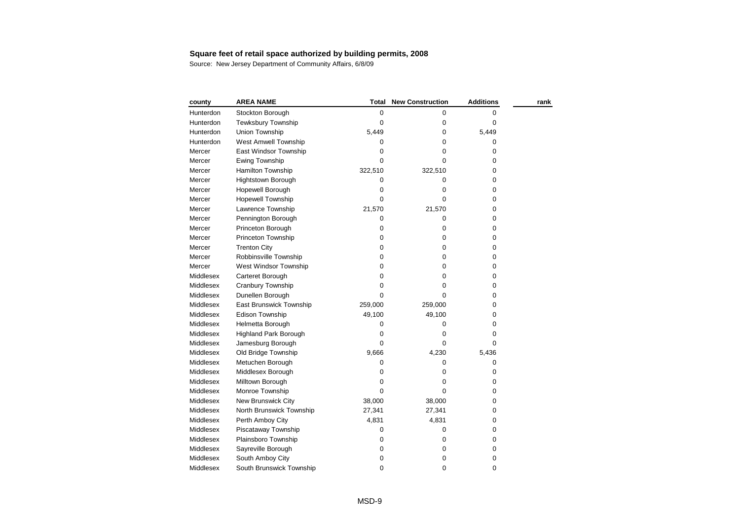| county           | <b>AREA NAME</b>             | <b>Total</b> | <b>New Construction</b> | <b>Additions</b> | rank |
|------------------|------------------------------|--------------|-------------------------|------------------|------|
| Hunterdon        | Stockton Borough             | 0            | 0                       | 0                |      |
| Hunterdon        | Tewksbury Township           | 0            | 0                       | 0                |      |
| Hunterdon        | Union Township               | 5,449        | 0                       | 5,449            |      |
| Hunterdon        | West Amwell Township         | 0            | 0                       | 0                |      |
| Mercer           | East Windsor Township        | 0            | 0                       | 0                |      |
| Mercer           | Ewing Township               | $\Omega$     | 0                       | 0                |      |
| Mercer           | Hamilton Township            | 322,510      | 322,510                 | 0                |      |
| Mercer           | <b>Hightstown Borough</b>    | 0            | 0                       | 0                |      |
| Mercer           | Hopewell Borough             | 0            | 0                       | 0                |      |
| Mercer           | <b>Hopewell Township</b>     | 0            | 0                       | 0                |      |
| Mercer           | Lawrence Township            | 21,570       | 21,570                  | 0                |      |
| Mercer           | Pennington Borough           | 0            | 0                       | 0                |      |
| Mercer           | Princeton Borough            | 0            | 0                       | 0                |      |
| Mercer           | Princeton Township           | $\pmb{0}$    | 0                       | 0                |      |
| Mercer           | <b>Trenton City</b>          | 0            | 0                       | 0                |      |
| Mercer           | Robbinsville Township        | 0            | 0                       | 0                |      |
| Mercer           | West Windsor Township        | 0            | 0                       | 0                |      |
| <b>Middlesex</b> | Carteret Borough             | 0            | 0                       | 0                |      |
| <b>Middlesex</b> | Cranbury Township            | 0            | 0                       | 0                |      |
| <b>Middlesex</b> | Dunellen Borough             | $\Omega$     | 0                       | 0                |      |
| <b>Middlesex</b> | East Brunswick Township      | 259,000      | 259,000                 | 0                |      |
| Middlesex        | Edison Township              | 49,100       | 49,100                  | 0                |      |
| Middlesex        | Helmetta Borough             | 0            | 0                       | 0                |      |
| Middlesex        | <b>Highland Park Borough</b> | $\pmb{0}$    | 0                       | 0                |      |
| Middlesex        | Jamesburg Borough            | $\Omega$     | $\Omega$                | $\Omega$         |      |
| Middlesex        | Old Bridge Township          | 9,666        | 4,230                   | 5,436            |      |
| Middlesex        | Metuchen Borough             | 0            | 0                       | 0                |      |
| Middlesex        | Middlesex Borough            | 0            | 0                       | 0                |      |
| Middlesex        | Milltown Borough             | 0            | 0                       | 0                |      |
| Middlesex        | Monroe Township              | $\Omega$     | 0                       | 0                |      |
| Middlesex        | New Brunswick City           | 38,000       | 38,000                  | 0                |      |
| Middlesex        | North Brunswick Township     | 27,341       | 27,341                  | 0                |      |
| Middlesex        | Perth Amboy City             | 4,831        | 4,831                   | 0                |      |
| Middlesex        | Piscataway Township          | 0            | 0                       | 0                |      |
| Middlesex        | Plainsboro Township          | 0            | 0                       | 0                |      |
| Middlesex        | Sayreville Borough           | 0            | 0                       | 0                |      |
| Middlesex        | South Amboy City             | 0            | 0                       | 0                |      |
| Middlesex        | South Brunswick Township     | 0            | 0                       | 0                |      |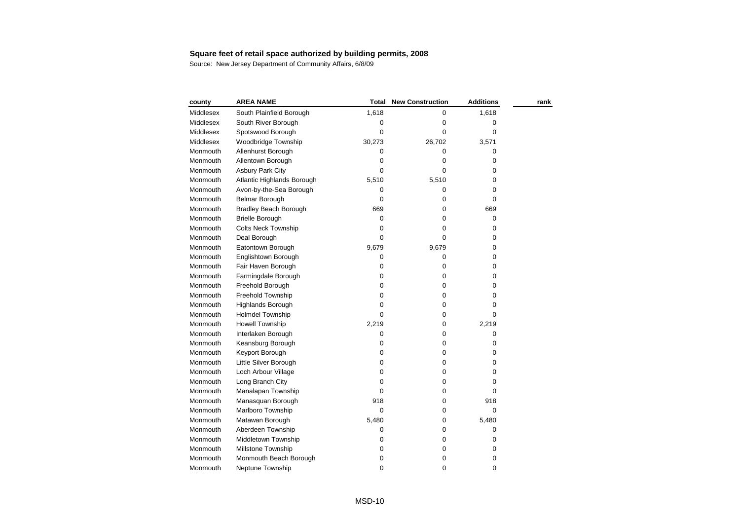| county    | <b>AREA NAME</b>           | Total       | <b>New Construction</b> | <b>Additions</b> | rank |
|-----------|----------------------------|-------------|-------------------------|------------------|------|
| Middlesex | South Plainfield Borough   | 1,618       | 0                       | 1,618            |      |
| Middlesex | South River Borough        | 0           | 0                       | 0                |      |
| Middlesex | Spotswood Borough          | 0           | 0                       | 0                |      |
| Middlesex | Woodbridge Township        | 30,273      | 26,702                  | 3,571            |      |
| Monmouth  | Allenhurst Borough         | 0           | 0                       | 0                |      |
| Monmouth  | Allentown Borough          | 0           | 0                       | 0                |      |
| Monmouth  | <b>Asbury Park City</b>    | $\Omega$    | 0                       | 0                |      |
| Monmouth  | Atlantic Highlands Borough | 5,510       | 5,510                   | 0                |      |
| Monmouth  | Avon-by-the-Sea Borough    | 0           | 0                       | 0                |      |
| Monmouth  | Belmar Borough             | 0           | 0                       | 0                |      |
| Monmouth  | Bradley Beach Borough      | 669         | 0                       | 669              |      |
| Monmouth  | <b>Brielle Borough</b>     | $\pmb{0}$   | 0                       | 0                |      |
| Monmouth  | <b>Colts Neck Township</b> | 0           | 0                       | 0                |      |
| Monmouth  | Deal Borough               | $\Omega$    | 0                       | 0                |      |
| Monmouth  | Eatontown Borough          | 9,679       | 9,679                   | 0                |      |
| Monmouth  | Englishtown Borough        | 0           | 0                       | 0                |      |
| Monmouth  | Fair Haven Borough         | 0           | 0                       | 0                |      |
| Monmouth  | Farmingdale Borough        | 0           | 0                       | 0                |      |
| Monmouth  | Freehold Borough           | 0           | 0                       | 0                |      |
| Monmouth  | Freehold Township          | 0           | 0                       | 0                |      |
| Monmouth  | <b>Highlands Borough</b>   | 0           | $\pmb{0}$               | 0                |      |
| Monmouth  | <b>Holmdel Township</b>    | $\Omega$    | 0                       | 0                |      |
| Monmouth  | <b>Howell Township</b>     | 2,219       | 0                       | 2,219            |      |
| Monmouth  | Interlaken Borough         | 0           | 0                       | 0                |      |
| Monmouth  | Keansburg Borough          | 0           | 0                       | 0                |      |
| Monmouth  | Keyport Borough            | 0           | 0                       | 0                |      |
| Monmouth  | Little Silver Borough      | 0           | 0                       | 0                |      |
| Monmouth  | Loch Arbour Village        | 0           | 0                       | 0                |      |
| Monmouth  | Long Branch City           | 0           | 0                       | 0                |      |
| Monmouth  | Manalapan Township         | 0           | 0                       | 0                |      |
| Monmouth  | Manasquan Borough          | 918         | 0                       | 918              |      |
| Monmouth  | Marlboro Township          | $\mathbf 0$ | 0                       | 0                |      |
| Monmouth  | Matawan Borough            | 5,480       | 0                       | 5,480            |      |
| Monmouth  | Aberdeen Township          | 0           | 0                       | 0                |      |
| Monmouth  | Middletown Township        | 0           | 0                       | 0                |      |
| Monmouth  | Millstone Township         | 0           | 0                       | 0                |      |
| Monmouth  | Monmouth Beach Borough     | 0           | 0                       | 0                |      |
| Monmouth  | Neptune Township           | 0           | 0                       | 0                |      |
|           |                            |             |                         |                  |      |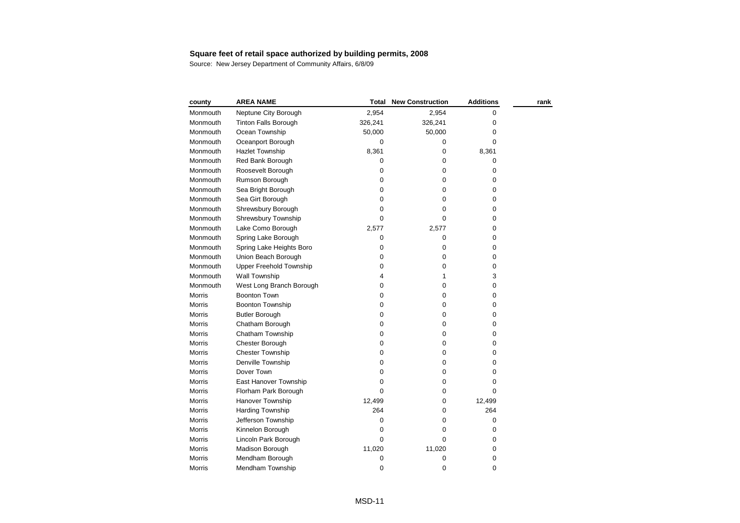| county        | <b>AREA NAME</b>            | Total     | <b>New Construction</b> | <b>Additions</b> | rank |
|---------------|-----------------------------|-----------|-------------------------|------------------|------|
| Monmouth      | Neptune City Borough        | 2,954     | 2,954                   | 0                |      |
| Monmouth      | <b>Tinton Falls Borough</b> | 326,241   | 326,241                 | 0                |      |
| Monmouth      | Ocean Township              | 50,000    | 50,000                  | 0                |      |
| Monmouth      | Oceanport Borough           | 0         | 0                       | 0                |      |
| Monmouth      | <b>Hazlet Township</b>      | 8,361     | 0                       | 8,361            |      |
| Monmouth      | Red Bank Borough            | 0         | 0                       | 0                |      |
| Monmouth      | Roosevelt Borough           | 0         | 0                       | 0                |      |
| Monmouth      | Rumson Borough              | 0         | 0                       | 0                |      |
| Monmouth      | Sea Bright Borough          | 0         | 0                       | 0                |      |
| Monmouth      | Sea Girt Borough            | 0         | 0                       | 0                |      |
| Monmouth      | Shrewsbury Borough          | 0         | 0                       | 0                |      |
| Monmouth      | Shrewsbury Township         | $\Omega$  | 0                       | 0                |      |
| Monmouth      | Lake Como Borough           | 2,577     | 2,577                   | 0                |      |
| Monmouth      | Spring Lake Borough         | 0         | 0                       | 0                |      |
| Monmouth      | Spring Lake Heights Boro    | $\pmb{0}$ | 0                       | 0                |      |
| Monmouth      | Union Beach Borough         | 0         | 0                       | 0                |      |
| Monmouth      | Upper Freehold Township     | 0         | 0                       | 0                |      |
| Monmouth      | Wall Township               | 4         | 1                       | 3                |      |
| Monmouth      | West Long Branch Borough    | 0         | 0                       | 0                |      |
| <b>Morris</b> | <b>Boonton Town</b>         | 0         | 0                       | 0                |      |
| Morris        | <b>Boonton Township</b>     | $\pmb{0}$ | 0                       | 0                |      |
| Morris        | <b>Butler Borough</b>       | 0         | 0                       | 0                |      |
| Morris        | Chatham Borough             | $\pmb{0}$ | 0                       | 0                |      |
| Morris        | Chatham Township            | 0         | 0                       | 0                |      |
| Morris        | Chester Borough             | 0         | 0                       | 0                |      |
| Morris        | Chester Township            | 0         | 0                       | 0                |      |
| Morris        | Denville Township           | 0         | 0                       | 0                |      |
| Morris        | Dover Town                  | 0         | 0                       | 0                |      |
| <b>Morris</b> | East Hanover Township       | 0         | 0                       | 0                |      |
| Morris        | Florham Park Borough        | 0         | 0                       | 0                |      |
| Morris        | <b>Hanover Township</b>     | 12,499    | 0                       | 12,499           |      |
| Morris        | <b>Harding Township</b>     | 264       | 0                       | 264              |      |
| Morris        | Jefferson Township          | 0         | 0                       | 0                |      |
| Morris        | Kinnelon Borough            | $\pmb{0}$ | 0                       | 0                |      |
| Morris        | Lincoln Park Borough        | 0         | $\mathbf 0$             | 0                |      |
| Morris        | Madison Borough             | 11,020    | 11,020                  | 0                |      |
| Morris        | Mendham Borough             | 0         | 0                       | 0                |      |
| Morris        | Mendham Township            | 0         | 0                       | 0                |      |
|               |                             |           |                         |                  |      |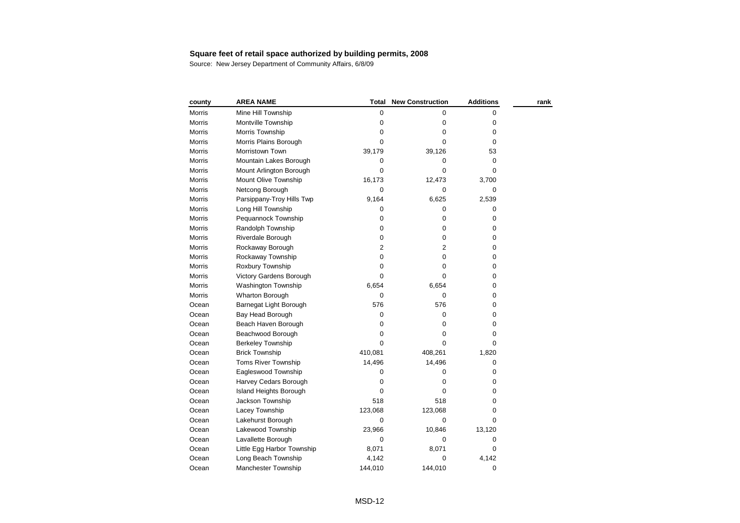# **Square feet of retail space authorized by building permits, 2008**<br>Source: New Jersey Department of Community Affairs, 6/8/09

| county | <b>AREA NAME</b>           | <b>Total</b>   | <b>New Construction</b> | <b>Additions</b> | rank |
|--------|----------------------------|----------------|-------------------------|------------------|------|
| Morris | Mine Hill Township         | 0              | 0                       | 0                |      |
| Morris | Montville Township         | 0              | 0                       | 0                |      |
| Morris | Morris Township            | 0              | 0                       | 0                |      |
| Morris | Morris Plains Borough      | $\mathbf 0$    | 0                       | 0                |      |
| Morris | Morristown Town            | 39,179         | 39,126                  | 53               |      |
| Morris | Mountain Lakes Borough     | 0              | 0                       | 0                |      |
| Morris | Mount Arlington Borough    | $\mathbf 0$    | 0                       | 0                |      |
| Morris | Mount Olive Township       | 16,173         | 12,473                  | 3,700            |      |
| Morris | Netcong Borough            | 0              | 0                       | 0                |      |
| Morris | Parsippany-Troy Hills Twp  | 9,164          | 6,625                   | 2,539            |      |
| Morris | Long Hill Township         | 0              | 0                       | 0                |      |
| Morris | Pequannock Township        | 0              | 0                       | 0                |      |
| Morris | Randolph Township          | 0              | 0                       | 0                |      |
| Morris | Riverdale Borough          | 0              | 0                       | 0                |      |
| Morris | Rockaway Borough           | $\overline{2}$ | $\overline{2}$          | 0                |      |
| Morris | Rockaway Township          | $\pmb{0}$      | 0                       | 0                |      |
| Morris | Roxbury Township           | 0              | 0                       | 0                |      |
| Morris | Victory Gardens Borough    | $\Omega$       | $\Omega$                | 0                |      |
| Morris | Washington Township        | 6,654          | 6,654                   | 0                |      |
| Morris | Wharton Borough            | 0              | 0                       | 0                |      |
| Ocean  | Barnegat Light Borough     | 576            | 576                     | 0                |      |
| Ocean  | Bay Head Borough           | $\pmb{0}$      | $\mathbf 0$             | 0                |      |
| Ocean  | Beach Haven Borough        | 0              | 0                       | 0                |      |
| Ocean  | Beachwood Borough          | 0              | 0                       | 0                |      |
| Ocean  | <b>Berkeley Township</b>   | $\Omega$       | 0                       | 0                |      |
| Ocean  | <b>Brick Township</b>      | 410,081        | 408,261                 | 1,820            |      |
| Ocean  | Toms River Township        | 14,496         | 14,496                  | 0                |      |
| Ocean  | Eagleswood Township        | 0              | 0                       | 0                |      |
| Ocean  | Harvey Cedars Borough      | $\mathbf 0$    | 0                       | 0                |      |
| Ocean  | Island Heights Borough     | 0              | 0                       | 0                |      |
| Ocean  | Jackson Township           | 518            | 518                     | 0                |      |
| Ocean  | Lacey Township             | 123,068        | 123,068                 | 0                |      |
| Ocean  | Lakehurst Borough          | $\mathbf 0$    | 0                       | 0                |      |
| Ocean  | Lakewood Township          | 23,966         | 10,846                  | 13,120           |      |
| Ocean  | Lavallette Borough         | $\mathbf 0$    | 0                       | 0                |      |
| Ocean  | Little Egg Harbor Township | 8,071          | 8,071                   | 0                |      |
| Ocean  | Long Beach Township        | 4,142          | 0                       | 4,142            |      |
| Ocean  | Manchester Township        | 144,010        | 144,010                 | 0                |      |
|        |                            |                |                         |                  |      |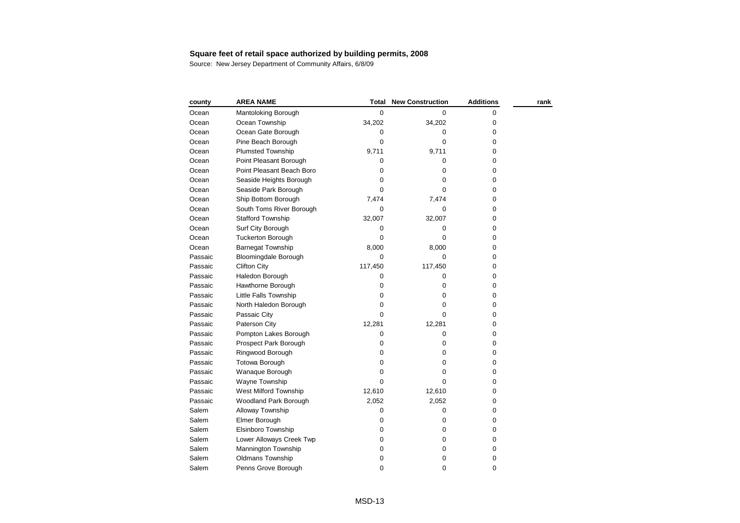| county  | <b>AREA NAME</b>            | Total       | <b>New Construction</b> | <b>Additions</b> | rank |
|---------|-----------------------------|-------------|-------------------------|------------------|------|
| Ocean   | Mantoloking Borough         | 0           | 0                       | 0                |      |
| Ocean   | Ocean Township              | 34,202      | 34,202                  | 0                |      |
| Ocean   | Ocean Gate Borough          | 0           | $\Omega$                | 0                |      |
| Ocean   | Pine Beach Borough          | 0           | 0                       | 0                |      |
| Ocean   | <b>Plumsted Township</b>    | 9,711       | 9,711                   | 0                |      |
| Ocean   | Point Pleasant Borough      | $\Omega$    | $\Omega$                | 0                |      |
| Ocean   | Point Pleasant Beach Boro   | 0           | 0                       | 0                |      |
| Ocean   | Seaside Heights Borough     | 0           | 0                       | 0                |      |
| Ocean   | Seaside Park Borough        | 0           | 0                       | 0                |      |
| Ocean   | Ship Bottom Borough         | 7,474       | 7,474                   | 0                |      |
| Ocean   | South Toms River Borough    | 0           | 0                       | 0                |      |
| Ocean   | <b>Stafford Township</b>    | 32,007      | 32,007                  | 0                |      |
| Ocean   | Surf City Borough           | 0           | 0                       | 0                |      |
| Ocean   | <b>Tuckerton Borough</b>    | 0           | 0                       | 0                |      |
| Ocean   | <b>Barnegat Township</b>    | 8,000       | 8,000                   | 0                |      |
| Passaic | <b>Bloomingdale Borough</b> | 0           | $\mathbf 0$             | 0                |      |
| Passaic | <b>Clifton City</b>         | 117,450     | 117,450                 | 0                |      |
| Passaic | Haledon Borough             | 0           | 0                       | 0                |      |
| Passaic | Hawthorne Borough           | 0           | 0                       | 0                |      |
| Passaic | Little Falls Township       | 0           | 0                       | 0                |      |
| Passaic | North Haledon Borough       | 0           | 0                       | 0                |      |
| Passaic | Passaic City                | 0           | 0                       | 0                |      |
| Passaic | Paterson City               | 12,281      | 12,281                  | 0                |      |
| Passaic | Pompton Lakes Borough       | 0           | 0                       | 0                |      |
| Passaic | Prospect Park Borough       | 0           | 0                       | 0                |      |
| Passaic | Ringwood Borough            | 0           | 0                       | 0                |      |
| Passaic | <b>Totowa Borough</b>       | $\pmb{0}$   | 0                       | 0                |      |
| Passaic | Wanaque Borough             | 0           | 0                       | 0                |      |
| Passaic | Wayne Township              | $\Omega$    | $\Omega$                | 0                |      |
| Passaic | West Milford Township       | 12,610      | 12,610                  | 0                |      |
| Passaic | Woodland Park Borough       | 2,052       | 2,052                   | 0                |      |
| Salem   | Alloway Township            | $\mathbf 0$ | 0                       | 0                |      |
| Salem   | Elmer Borough               | 0           | 0                       | 0                |      |
| Salem   | Elsinboro Township          | 0           | 0                       | 0                |      |
| Salem   | Lower Alloways Creek Twp    | 0           | 0                       | 0                |      |
| Salem   | Mannington Township         | 0           | 0                       | 0                |      |
| Salem   | <b>Oldmans Township</b>     | 0           | 0                       | 0                |      |
| Salem   | Penns Grove Borough         | 0           | 0                       | 0                |      |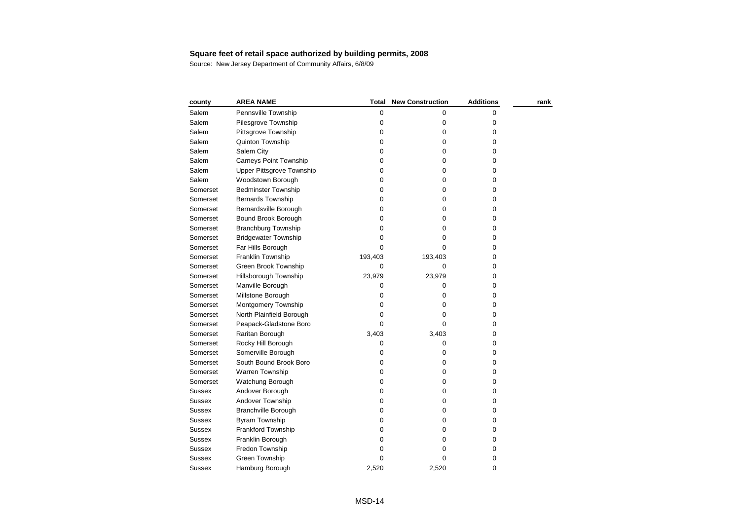# **Square feet of retail space authorized by building permits, 2008**<br>Source: New Jersey Department of Community Affairs, 6/8/09

| county        | <b>AREA NAME</b>                 | <b>Total</b> | <b>New Construction</b> | <b>Additions</b> | rank |
|---------------|----------------------------------|--------------|-------------------------|------------------|------|
| Salem         | Pennsville Township              | 0            | 0                       | 0                |      |
| Salem         | Pilesgrove Township              | 0            | $\pmb{0}$               | 0                |      |
| Salem         | Pittsgrove Township              | 0            | 0                       | 0                |      |
| Salem         | Quinton Township                 | 0            | $\pmb{0}$               | 0                |      |
| Salem         | Salem City                       | 0            | 0                       | 0                |      |
| Salem         | Carneys Point Township           | 0            | 0                       | 0                |      |
| Salem         | <b>Upper Pittsgrove Township</b> | 0            | 0                       | 0                |      |
| Salem         | Woodstown Borough                | 0            | 0                       | 0                |      |
| Somerset      | <b>Bedminster Township</b>       | 0            | $\pmb{0}$               | 0                |      |
| Somerset      | <b>Bernards Township</b>         | 0            | 0                       | 0                |      |
| Somerset      | Bernardsville Borough            | 0            | $\pmb{0}$               | 0                |      |
| Somerset      | Bound Brook Borough              | 0            | 0                       | 0                |      |
| Somerset      | <b>Branchburg Township</b>       | 0            | 0                       | 0                |      |
| Somerset      | <b>Bridgewater Township</b>      | 0            | 0                       | 0                |      |
| Somerset      | Far Hills Borough                | 0            | 0                       | 0                |      |
| Somerset      | Franklin Township                | 193,403      | 193,403                 | 0                |      |
| Somerset      | Green Brook Township             | 0            | 0                       | 0                |      |
| Somerset      | Hillsborough Township            | 23,979       | 23,979                  | 0                |      |
| Somerset      | Manville Borough                 | 0            | 0                       | 0                |      |
| Somerset      | Millstone Borough                | 0            | 0                       | 0                |      |
| Somerset      | Montgomery Township              | 0            | 0                       | 0                |      |
| Somerset      | North Plainfield Borough         | $\mathbf 0$  | 0                       | 0                |      |
| Somerset      | Peapack-Gladstone Boro           | 0            | 0                       | 0                |      |
| Somerset      | Raritan Borough                  | 3,403        | 3,403                   | 0                |      |
| Somerset      | Rocky Hill Borough               | 0            | 0                       | 0                |      |
| Somerset      | Somerville Borough               | 0            | 0                       | 0                |      |
| Somerset      | South Bound Brook Boro           | 0            | 0                       | 0                |      |
| Somerset      | Warren Township                  | 0            | 0                       | 0                |      |
| Somerset      | Watchung Borough                 | 0            | 0                       | 0                |      |
| Sussex        | Andover Borough                  | 0            | 0                       | 0                |      |
| <b>Sussex</b> | Andover Township                 | 0            | $\pmb{0}$               | 0                |      |
| <b>Sussex</b> | <b>Branchville Borough</b>       | 0            | $\pmb{0}$               | 0                |      |
| <b>Sussex</b> | <b>Byram Township</b>            | 0            | $\pmb{0}$               | 0                |      |
| <b>Sussex</b> | Frankford Township               | 0            | $\pmb{0}$               | 0                |      |
| Sussex        | Franklin Borough                 | 0            | 0                       | 0                |      |
| Sussex        | Fredon Township                  | 0            | 0                       | 0                |      |
| <b>Sussex</b> | Green Township                   | 0            | 0                       | 0                |      |
| Sussex        | Hamburg Borough                  | 2,520        | 2,520                   | 0                |      |
|               |                                  |              |                         |                  |      |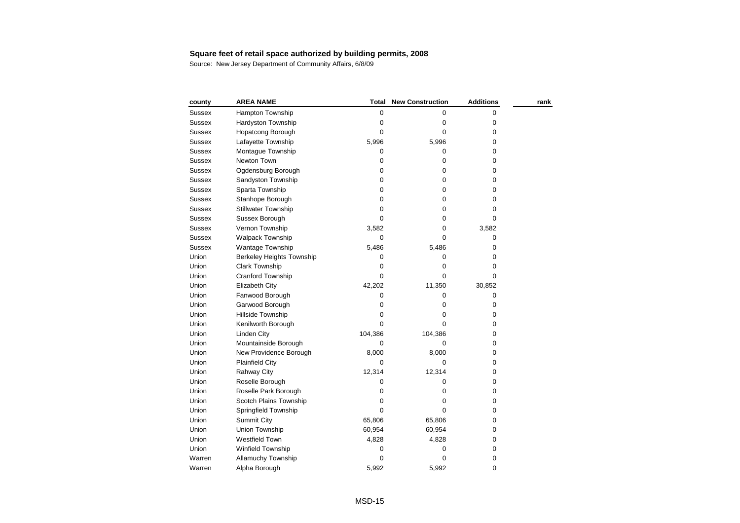| county        | <b>AREA NAME</b>                 | Total       | <b>New Construction</b> | <b>Additions</b> | rank |
|---------------|----------------------------------|-------------|-------------------------|------------------|------|
| <b>Sussex</b> | <b>Hampton Township</b>          | 0           | 0                       | 0                |      |
| <b>Sussex</b> | Hardyston Township               | 0           | 0                       | 0                |      |
| Sussex        | Hopatcong Borough                | 0           | 0                       | 0                |      |
| <b>Sussex</b> | Lafayette Township               | 5,996       | 5,996                   | 0                |      |
| <b>Sussex</b> | Montague Township                | 0           | 0                       | 0                |      |
| <b>Sussex</b> | Newton Town                      | 0           | 0                       | 0                |      |
| <b>Sussex</b> | Ogdensburg Borough               | 0           | $\pmb{0}$               | 0                |      |
| <b>Sussex</b> | Sandyston Township               | $\pmb{0}$   | 0                       | 0                |      |
| <b>Sussex</b> | Sparta Township                  | 0           | 0                       | 0                |      |
| Sussex        | Stanhope Borough                 | 0           | 0                       | 0                |      |
| <b>Sussex</b> | <b>Stillwater Township</b>       | 0           | 0                       | 0                |      |
| <b>Sussex</b> | Sussex Borough                   | $\Omega$    | 0                       | 0                |      |
| Sussex        | Vernon Township                  | 3,582       | 0                       | 3,582            |      |
| <b>Sussex</b> | Walpack Township                 | 0           | 0                       | 0                |      |
| <b>Sussex</b> | Wantage Township                 | 5,486       | 5,486                   | 0                |      |
| Union         | <b>Berkeley Heights Township</b> | 0           | 0                       | 0                |      |
| Union         | Clark Township                   | 0           | 0                       | 0                |      |
| Union         | Cranford Township                | 0           | 0                       | 0                |      |
| Union         | Elizabeth City                   | 42,202      | 11,350                  | 30,852           |      |
| Union         | Fanwood Borough                  | 0           | 0                       | 0                |      |
| Union         | Garwood Borough                  | 0           | 0                       | 0                |      |
| Union         | Hillside Township                | 0           | 0                       | 0                |      |
| Union         | Kenilworth Borough               | 0           | $\Omega$                | 0                |      |
| Union         | Linden City                      | 104,386     | 104,386                 | 0                |      |
| Union         | Mountainside Borough             | 0           | $\Omega$                | 0                |      |
| Union         | New Providence Borough           | 8,000       | 8,000                   | 0                |      |
| Union         | <b>Plainfield City</b>           | $\mathbf 0$ | $\Omega$                | 0                |      |
| Union         | Rahway City                      | 12,314      | 12,314                  | 0                |      |
| Union         | Roselle Borough                  | 0           | 0                       | 0                |      |
| Union         | Roselle Park Borough             | 0           | 0                       | 0                |      |
| Union         | Scotch Plains Township           | 0           | 0                       | 0                |      |
| Union         | Springfield Township             | 0           | 0                       | 0                |      |
| Union         | <b>Summit City</b>               | 65,806      | 65,806                  | 0                |      |
| Union         | Union Township                   | 60,954      | 60,954                  | 0                |      |
| Union         | <b>Westfield Town</b>            | 4,828       | 4,828                   | 0                |      |
| Union         | Winfield Township                | 0           | 0                       | 0                |      |
| Warren        | <b>Allamuchy Township</b>        | 0           | $\mathbf 0$             | 0                |      |
| Warren        | Alpha Borough                    | 5,992       | 5,992                   | 0                |      |